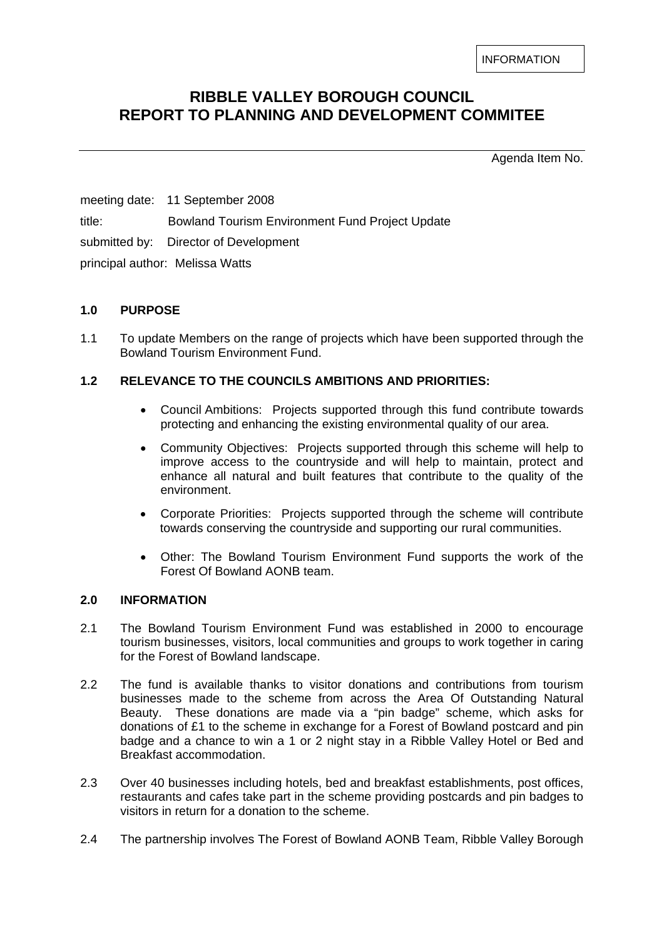INFORMATION

# **RIBBLE VALLEY BOROUGH COUNCIL REPORT TO PLANNING AND DEVELOPMENT COMMITEE**

Agenda Item No.

meeting date: 11 September 2008 title: Bowland Tourism Environment Fund Project Update submitted by: Director of Development principal author: Melissa Watts

## **1.0 PURPOSE**

1.1 To update Members on the range of projects which have been supported through the Bowland Tourism Environment Fund.

## **1.2 RELEVANCE TO THE COUNCILS AMBITIONS AND PRIORITIES:**

- Council Ambitions: Projects supported through this fund contribute towards protecting and enhancing the existing environmental quality of our area.
- Community Objectives: Projects supported through this scheme will help to improve access to the countryside and will help to maintain, protect and enhance all natural and built features that contribute to the quality of the environment.
- Corporate Priorities: Projects supported through the scheme will contribute towards conserving the countryside and supporting our rural communities.
- Other: The Bowland Tourism Environment Fund supports the work of the Forest Of Bowland AONB team.

## **2.0 INFORMATION**

- 2.1 The Bowland Tourism Environment Fund was established in 2000 to encourage tourism businesses, visitors, local communities and groups to work together in caring for the Forest of Bowland landscape.
- 2.2 The fund is available thanks to visitor donations and contributions from tourism businesses made to the scheme from across the Area Of Outstanding Natural Beauty. These donations are made via a "pin badge" scheme, which asks for donations of £1 to the scheme in exchange for a Forest of Bowland postcard and pin badge and a chance to win a 1 or 2 night stay in a Ribble Valley Hotel or Bed and Breakfast accommodation.
- 2.3 Over 40 businesses including hotels, bed and breakfast establishments, post offices, restaurants and cafes take part in the scheme providing postcards and pin badges to visitors in return for a donation to the scheme.
- 2.4 The partnership involves The Forest of Bowland AONB Team, Ribble Valley Borough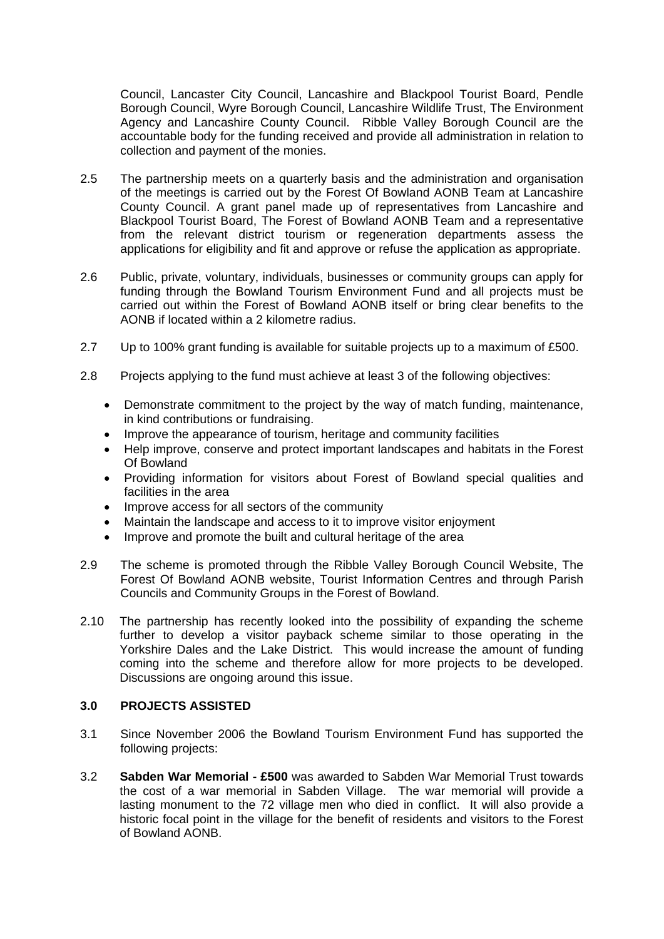Council, Lancaster City Council, Lancashire and Blackpool Tourist Board, Pendle Borough Council, Wyre Borough Council, Lancashire Wildlife Trust, The Environment Agency and Lancashire County Council. Ribble Valley Borough Council are the accountable body for the funding received and provide all administration in relation to collection and payment of the monies.

- 2.5 The partnership meets on a quarterly basis and the administration and organisation of the meetings is carried out by the Forest Of Bowland AONB Team at Lancashire County Council. A grant panel made up of representatives from Lancashire and Blackpool Tourist Board, The Forest of Bowland AONB Team and a representative from the relevant district tourism or regeneration departments assess the applications for eligibility and fit and approve or refuse the application as appropriate.
- 2.6 Public, private, voluntary, individuals, businesses or community groups can apply for funding through the Bowland Tourism Environment Fund and all projects must be carried out within the Forest of Bowland AONB itself or bring clear benefits to the AONB if located within a 2 kilometre radius.
- 2.7 Up to 100% grant funding is available for suitable projects up to a maximum of £500.
- 2.8 Projects applying to the fund must achieve at least 3 of the following objectives:
	- Demonstrate commitment to the project by the way of match funding, maintenance, in kind contributions or fundraising.
	- Improve the appearance of tourism, heritage and community facilities
	- Help improve, conserve and protect important landscapes and habitats in the Forest Of Bowland
	- Providing information for visitors about Forest of Bowland special qualities and facilities in the area
	- Improve access for all sectors of the community
	- Maintain the landscape and access to it to improve visitor enjoyment
	- Improve and promote the built and cultural heritage of the area
- 2.9 The scheme is promoted through the Ribble Valley Borough Council Website, The Forest Of Bowland AONB website, Tourist Information Centres and through Parish Councils and Community Groups in the Forest of Bowland.
- 2.10 The partnership has recently looked into the possibility of expanding the scheme further to develop a visitor payback scheme similar to those operating in the Yorkshire Dales and the Lake District. This would increase the amount of funding coming into the scheme and therefore allow for more projects to be developed. Discussions are ongoing around this issue.

#### **3.0 PROJECTS ASSISTED**

- 3.1 Since November 2006 the Bowland Tourism Environment Fund has supported the following projects:
- 3.2 **Sabden War Memorial £500** was awarded to Sabden War Memorial Trust towards the cost of a war memorial in Sabden Village. The war memorial will provide a lasting monument to the 72 village men who died in conflict. It will also provide a historic focal point in the village for the benefit of residents and visitors to the Forest of Bowland AONB.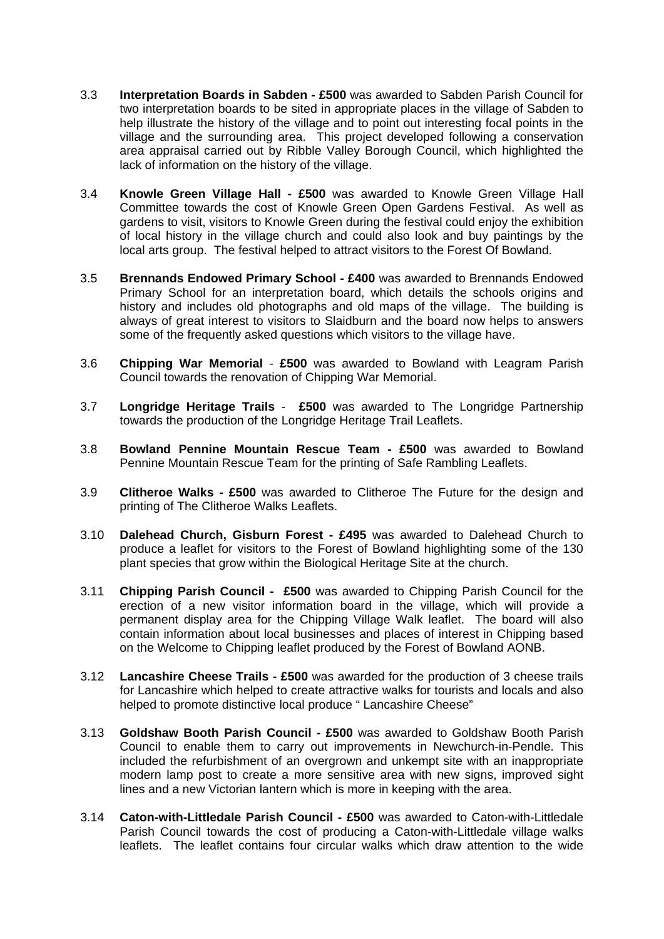- 3.3 **Interpretation Boards in Sabden £500** was awarded to Sabden Parish Council for two interpretation boards to be sited in appropriate places in the village of Sabden to help illustrate the history of the village and to point out interesting focal points in the village and the surrounding area. This project developed following a conservation area appraisal carried out by Ribble Valley Borough Council, which highlighted the lack of information on the history of the village.
- 3.4 **Knowle Green Village Hall £500** was awarded to Knowle Green Village Hall Committee towards the cost of Knowle Green Open Gardens Festival. As well as gardens to visit, visitors to Knowle Green during the festival could enjoy the exhibition of local history in the village church and could also look and buy paintings by the local arts group. The festival helped to attract visitors to the Forest Of Bowland.
- 3.5 **Brennands Endowed Primary School £400** was awarded to Brennands Endowed Primary School for an interpretation board, which details the schools origins and history and includes old photographs and old maps of the village. The building is always of great interest to visitors to Slaidburn and the board now helps to answers some of the frequently asked questions which visitors to the village have.
- 3.6 **Chipping War Memorial £500** was awarded to Bowland with Leagram Parish Council towards the renovation of Chipping War Memorial.
- 3.7 **Longridge Heritage Trails £500** was awarded to The Longridge Partnership towards the production of the Longridge Heritage Trail Leaflets.
- 3.8 **Bowland Pennine Mountain Rescue Team £500** was awarded to Bowland Pennine Mountain Rescue Team for the printing of Safe Rambling Leaflets.
- 3.9 **Clitheroe Walks £500** was awarded to Clitheroe The Future for the design and printing of The Clitheroe Walks Leaflets.
- 3.10 **Dalehead Church, Gisburn Forest £495** was awarded to Dalehead Church to produce a leaflet for visitors to the Forest of Bowland highlighting some of the 130 plant species that grow within the Biological Heritage Site at the church.
- 3.11 **Chipping Parish Council £500** was awarded to Chipping Parish Council for the erection of a new visitor information board in the village, which will provide a permanent display area for the Chipping Village Walk leaflet. The board will also contain information about local businesses and places of interest in Chipping based on the Welcome to Chipping leaflet produced by the Forest of Bowland AONB.
- 3.12 **Lancashire Cheese Trails £500** was awarded for the production of 3 cheese trails for Lancashire which helped to create attractive walks for tourists and locals and also helped to promote distinctive local produce "Lancashire Cheese"
- 3.13 **Goldshaw Booth Parish Council £500** was awarded to Goldshaw Booth Parish Council to enable them to carry out improvements in Newchurch-in-Pendle. This included the refurbishment of an overgrown and unkempt site with an inappropriate modern lamp post to create a more sensitive area with new signs, improved sight lines and a new Victorian lantern which is more in keeping with the area.
- 3.14 **Caton-with-Littledale Parish Council £500** was awarded to Caton-with-Littledale Parish Council towards the cost of producing a Caton-with-Littledale village walks leaflets. The leaflet contains four circular walks which draw attention to the wide